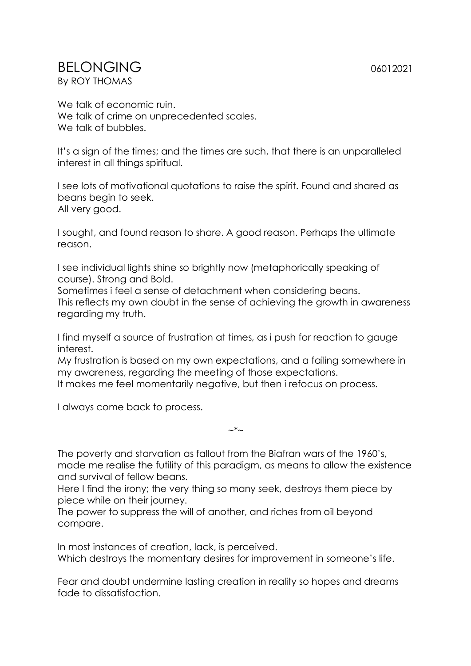## BELONGING 06012021 By ROY THOMAS

We talk of economic ruin. We talk of crime on unprecedented scales. We talk of bubbles.

It's a sign of the times; and the times are such, that there is an unparalleled interest in all things spiritual.

I see lots of motivational quotations to raise the spirit. Found and shared as beans begin to seek. All very good.

I sought, and found reason to share. A good reason. Perhaps the ultimate reason.

I see individual lights shine so brightly now (metaphorically speaking of course). Strong and Bold.

Sometimes i feel a sense of detachment when considering beans. This reflects my own doubt in the sense of achieving the growth in awareness regarding my truth.

I find myself a source of frustration at times, as i push for reaction to gauge interest.

My frustration is based on my own expectations, and a failing somewhere in my awareness, regarding the meeting of those expectations.

It makes me feel momentarily negative, but then i refocus on process.

I always come back to process.

The poverty and starvation as fallout from the Biafran wars of the 1960's, made me realise the futility of this paradigm, as means to allow the existence and survival of fellow beans.

 $\sim^*$ ~

Here I find the irony; the very thing so many seek, destroys them piece by piece while on their journey.

The power to suppress the will of another, and riches from oil beyond compare.

In most instances of creation, lack, is perceived. Which destroys the momentary desires for improvement in someone's life.

Fear and doubt undermine lasting creation in reality so hopes and dreams fade to dissatisfaction.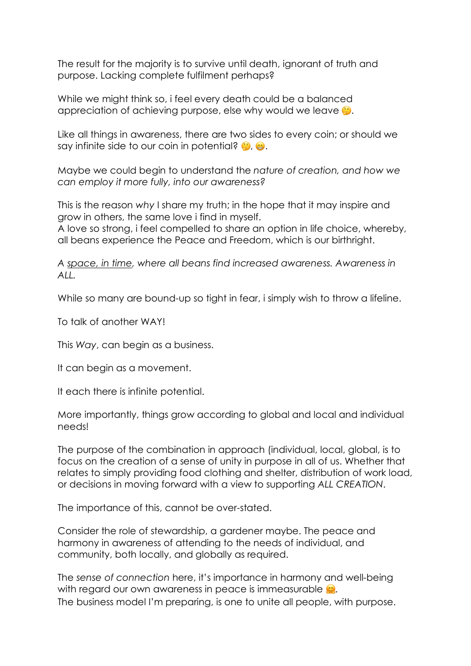The result for the majority is to survive until death, ignorant of truth and purpose. Lacking complete fulfilment perhaps?

While we might think so, i feel every death could be a balanced appreciation of achieving purpose, else why would we leave  $\dddot{\bullet}$ .

Like all things in awareness, there are two sides to every coin; or should we say infinite side to our coin in potential?  $\bullet$ .

Maybe we could begin to understand the *nature of creation, and how we can employ it more fully, into our awareness?*

This is the reason *why* I share my truth; in the hope that it may inspire and grow in others, the same love i find in myself.

A love so strong, i feel compelled to share an option in life choice, whereby, all beans experience the Peace and Freedom, which is our birthright.

*A space, in time, where all beans find increased awareness. Awareness in ALL.*

While so many are bound-up so tight in fear, i simply wish to throw a lifeline.

To talk of another WAY!

This *Way*, can begin as a business.

It can begin as a movement.

It each there is infinite potential.

More importantly, things grow according to global and local and individual needs!

The purpose of the combination in approach (individual, local, global, is to focus on the creation of a sense of unity in purpose in all of us. Whether that relates to simply providing food clothing and shelter, distribution of work load, or decisions in moving forward with a view to supporting *ALL CREATION*.

The importance of this, cannot be over-stated.

Consider the role of stewardship, a gardener maybe. The peace and harmony in awareness of attending to the needs of individual, and community, both locally, and globally as required.

The *sense of connection* here, it's importance in harmony and well-being with regard our own awareness in peace is immeasurable  $\mathcal{Q}$ . The business model I'm preparing, is one to unite all people, with purpose.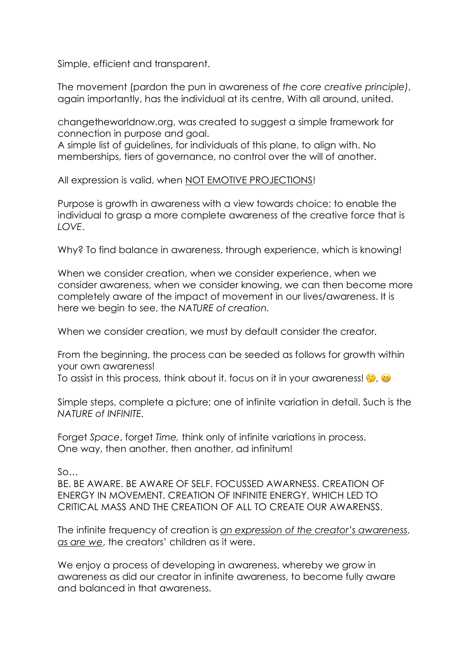Simple, efficient and transparent.

The movement (pardon the pun in awareness of *the core creative principle)*, again importantly, has the individual at its centre, With all around, united.

changetheworldnow.org, was created to suggest a simple framework for connection in purpose and goal.

A simple list of guidelines, for individuals of this plane, to align with. No memberships, tiers of governance, no control over the will of another.

All expression is valid, when NOT EMOTIVE PROJECTIONS!

Purpose is growth in awareness with a view towards choice; to enable the individual to grasp a more complete awareness of the creative force that is *LOVE*.

Why? To find balance in awareness, through experience, which is knowing!

When we consider creation, when we consider experience, when we consider awareness, when we consider knowing, we can then become more completely aware of the impact of movement in our lives/awareness. It is here we begin to see, the *NATURE of creation.*

When we consider creation, we must by default consider the creator.

From the beginning, the process can be seeded as follows for growth within your own awareness!

To assist in this process, think about it. focus on it in your awareness!  $\bullet$ ,  $\bullet$ 

Simple steps, complete a picture; one of infinite variation in detail. Such is the *NATURE of INFINITE.*

Forget *Space*, forget *Time,* think only of infinite variations in process. One way, then another, then another, ad infinitum!

So…

BE. BE AWARE. BE AWARE OF SELF. FOCUSSED AWARNESS. CREATION OF ENERGY IN MOVEMENT. CREATION OF INFINITE ENERGY, WHICH LED TO CRITICAL MASS AND THE CREATION OF ALL TO CREATE OUR AWARENSS.

The infinite frequency of creation is *an expression of the creator's awareness*, *as are we*, the creators' children as it were.

We enjoy a process of developing in awareness, whereby we grow in awareness as did our creator in infinite awareness, to become fully aware and balanced in that awareness.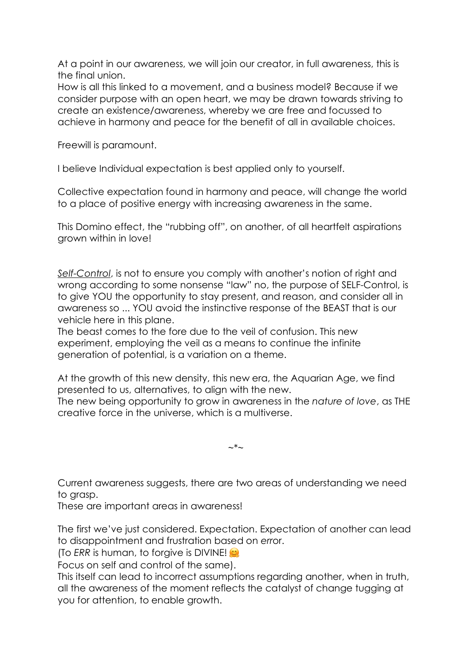At a point in our awareness, we will join our creator, in full awareness, this is the final union.

How is all this linked to a movement, and a business model? Because if we consider purpose with an open heart, we may be drawn towards striving to create an existence/awareness, whereby we are free and focussed to achieve in harmony and peace for the benefit of all in available choices.

Freewill is paramount.

I believe Individual expectation is best applied only to yourself.

Collective expectation found in harmony and peace, will change the world to a place of positive energy with increasing awareness in the same.

This Domino effect, the "rubbing off", on another, of all heartfelt aspirations grown within in love!

*Self-Control*, is not to ensure you comply with another's notion of right and wrong according to some nonsense "law" no, the purpose of SELF-Control, is to give YOU the opportunity to stay present, and reason, and consider all in awareness so ... YOU avoid the instinctive response of the BEAST that is our vehicle here in this plane.

The beast comes to the fore due to the veil of confusion. This new experiment, employing the veil as a means to continue the infinite generation of potential, is a variation on a theme.

At the growth of this new density, this new era, the Aquarian Age, we find presented to us, alternatives, to align with the new.

The new being opportunity to grow in awareness in the *nature of love*, as THE creative force in the universe, which is a multiverse.

 $\sim^*$ ~

Current awareness suggests, there are two areas of understanding we need to grasp.

These are important areas in awareness!

The first we've just considered. Expectation. Expectation of another can lead to disappointment and frustration based on *err*or.

(To *ERR* is human, to forgive is DIVINE!

Focus on self and control of the same).

This itself can lead to incorrect assumptions regarding another, when in truth, all the awareness of the moment reflects the catalyst of change tugging at you for attention, to enable growth.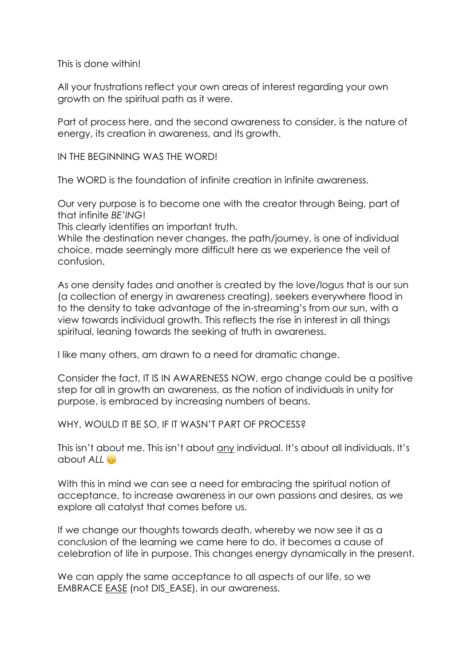This is done within!

All your frustrations reflect your own areas of interest regarding your own growth on the spiritual path as it were.

Part of process here, and the second awareness to consider, is the nature of energy, its creation in awareness, and its growth.

IN THE BEGINNING WAS THE WORD!

The WORD is the foundation of infinite creation in infinite awareness.

Our very purpose is to become one with the creator through Being, part of that infinite *BE'ING*!

This clearly identifies an important truth.

While the destination never changes, the path/journey, is one of individual choice, made seemingly more difficult here as we experience the veil of confusion.

As one density fades and another is created by the love/logus that is our sun (a collection of energy in awareness creating), seekers everywhere flood in to the density to take advantage of the in-streaming's from our sun, with a view towards individual growth. This reflects the rise in interest in all things spiritual, leaning towards the seeking of truth in awareness.

I like many others, am drawn to a need for dramatic change.

Consider the fact, IT IS IN AWARENESS NOW, ergo change could be a positive step for all in growth an awareness, as the notion of individuals in unity for purpose, is embraced by increasing numbers of beans.

WHY, WOULD IT BE SO, IF IT WASN'T PART OF PROCESS?

This isn't about me. This isn't about any individual. It's about all individuals. It's about *ALL*

With this in mind we can see a need for embracing the spiritual notion of acceptance, to increase awareness in our own passions and desires, as we explore all catalyst that comes before us.

If we change our thoughts towards death, whereby we now see it as a conclusion of the learning we came here to do, it becomes a cause of celebration of life in purpose. This changes energy dynamically in the present.

We can apply the same acceptance to all aspects of our life, so we EMBRACE EASE (not DIS EASE), in our awareness.